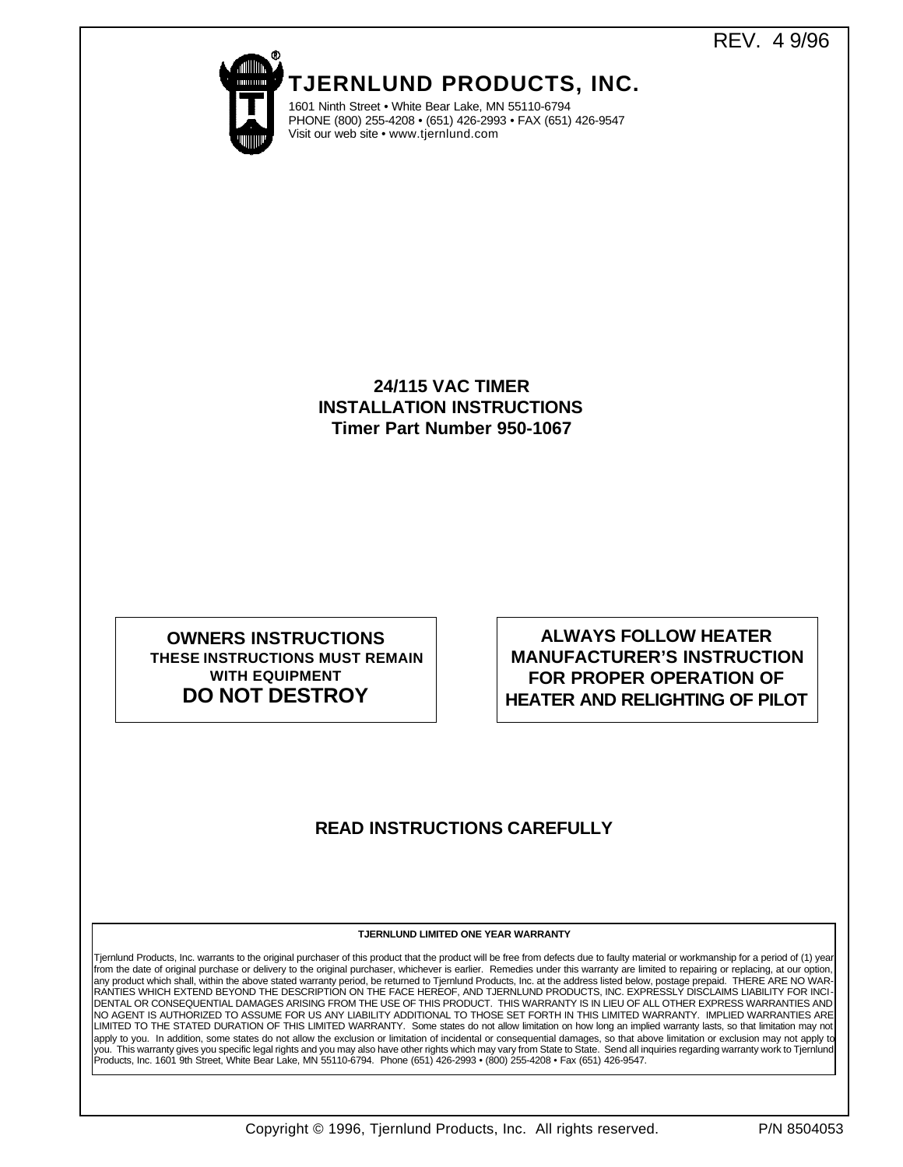REV. 4 9/96



**TJERNLUND PRODUCTS, INC.**

1601 Ninth Street • White Bear Lake, MN 55110-6794 PHONE (800) 255-4208 • (651) 426-2993 • FAX (651) 426-9547 Visit our web site • www.tjernlund.com

## **24/115 VAC TIMER INSTALLATION INSTRUCTIONS Timer Part Number 950-1067**

## **OWNERS INSTRUCTIONS THESE INSTRUCTIONS MUST REMAIN WITH EQUIPMENT DO NOT DESTROY**

**ALWAYS FOLLOW HEATER MANUFACTURER'S INSTRUCTION FOR PROPER OPERATION OF HEATER AND RELIGHTING OF PILOT**

# **READ INSTRUCTIONS CAREFULLY**

### **TJERNLUND LIMITED ONE YEAR WARRANTY**

Tjernlund Products, Inc. warrants to the original purchaser of this product that the product will be free from defects due to faulty material or workmanship for a period of (1) year from the date of original purchase or delivery to the original purchaser, whichever is earlier. Remedies under this warranty are limited to repairing or replacing, at our option, any product which shall, within the above stated warranty period, be returned to Tjernlund Products, Inc. at the address listed below, postage prepaid. THERE ARE NO WAR-<br>RANTIES WHICH EXTEND BEYOND THE DESCRIPTION ON THE DENTAL OR CONSEQUENTIAL DAMAGES ARISING FROM THE USE OF THIS PRODUCT. THIS WARRANTY IS IN LIEU OF ALL OTHER EXPRESS WARRANTIES AND NO AGENT IS AUTHORIZED TO ASSUME FOR US ANY LIABILITY ADDITIONAL TO THOSE SET FORTH IN THIS LIMITED WARRANTY. IMPLIED WARRANTIES ARE LIMITED TO THE STATED DURATION OF THIS LIMITED WARRANTY. Some states do not allow limitation on how long an implied warranty lasts, so that limitation may not apply to you. In addition, some states do not allow the exclusion or limitation of incidental or consequential damages, so that above limitation or exclusion may not apply to<br>you. This warranty gives you specific legal rig Products, Inc. 1601 9th Street, White Bear Lake, MN 55110-6794. Phone (651) 426-2993 • (800) 255-4208 • Fax (651) 426-9547.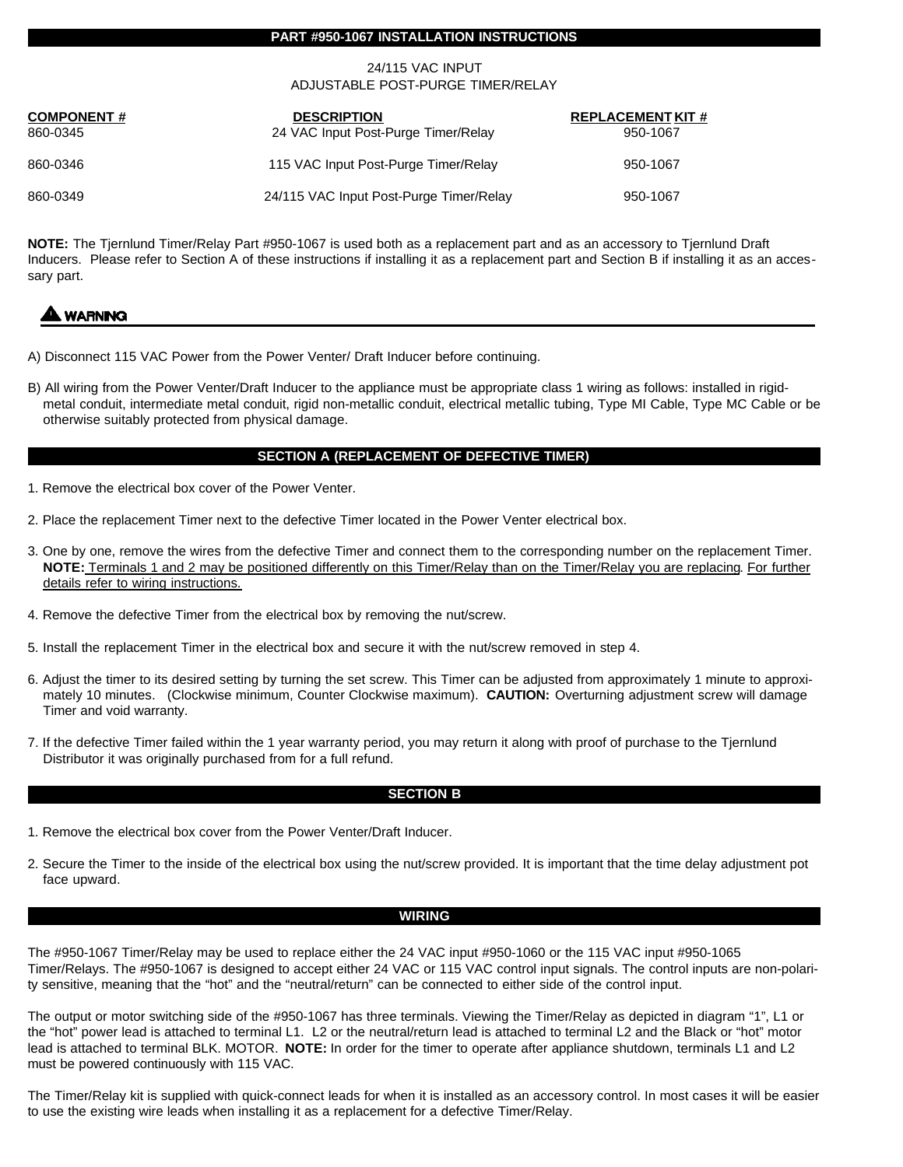#### **PART #950-1067 INSTALLATION INSTRUCTIONS**

#### 24/115 VAC INPUT ADJUSTABLE POST-PURGE TIMER/RELAY

| <b>COMPONENT#</b><br>860-0345 | <b>DESCRIPTION</b><br>24 VAC Input Post-Purge Timer/Relay | <b>REPLACEMENT KIT #</b><br>950-1067 |
|-------------------------------|-----------------------------------------------------------|--------------------------------------|
| 860-0346                      | 115 VAC Input Post-Purge Timer/Relay                      | 950-1067                             |
| 860-0349                      | 24/115 VAC Input Post-Purge Timer/Relay                   | 950-1067                             |

**NOTE:** The Tjernlund Timer/Relay Part #950-1067 is used both as a replacement part and as an accessory to Tjernlund Draft Inducers. Please refer to Section A of these instructions if installing it as a replacement part and Section B if installing it as an accessary part.

## **WARNING**

- A) Disconnect 115 VAC Power from the Power Venter/ Draft Inducer before continuing.
- B) All wiring from the Power Venter/Draft Inducer to the appliance must be appropriate class 1 wiring as follows: installed in rigidmetal conduit, intermediate metal conduit, rigid non-metallic conduit, electrical metallic tubing, Type MI Cable, Type MC Cable or be otherwise suitably protected from physical damage.

#### **SECTION A (REPLACEMENT OF DEFECTIVE TIMER)**

- 1. Remove the electrical box cover of the Power Venter.
- 2. Place the replacement Timer next to the defective Timer located in the Power Venter electrical box.
- 3. One by one, remove the wires from the defective Timer and connect them to the corresponding number on the replacement Timer. **NOTE:** Terminals 1 and 2 may be positioned differently on this Timer/Relay than on the Timer/Relay you are replacing. For further details refer to wiring instructions.
- 4. Remove the defective Timer from the electrical box by removing the nut/screw.
- 5. Install the replacement Timer in the electrical box and secure it with the nut/screw removed in step 4.
- 6. Adjust the timer to its desired setting by turning the set screw. This Timer can be adjusted from approximately 1 minute to approximately 10 minutes. (Clockwise minimum, Counter Clockwise maximum). **CAUTION:** Overturning adjustment screw will damage Timer and void warranty.
- 7. If the defective Timer failed within the 1 year warranty period, you may return it along with proof of purchase to the Tjernlund Distributor it was originally purchased from for a full refund.

#### **SECTION B**

- 1. Remove the electrical box cover from the Power Venter/Draft Inducer.
- 2. Secure the Timer to the inside of the electrical box using the nut/screw provided. It is important that the time delay adjustment pot face upward.

#### **WIRING**

The #950-1067 Timer/Relay may be used to replace either the 24 VAC input #950-1060 or the 115 VAC input #950-1065 Timer/Relays. The #950-1067 is designed to accept either 24 VAC or 115 VAC control input signals. The control inputs are non-polarity sensitive, meaning that the "hot" and the "neutral/return" can be connected to either side of the control input.

The output or motor switching side of the #950-1067 has three terminals. Viewing the Timer/Relay as depicted in diagram "1", L1 or the "hot" power lead is attached to terminal L1. L2 or the neutral/return lead is attached to terminal L2 and the Black or "hot" motor lead is attached to terminal BLK. MOTOR. **NOTE:** In order for the timer to operate after appliance shutdown, terminals L1 and L2 must be powered continuously with 115 VAC.

The Timer/Relay kit is supplied with quick-connect leads for when it is installed as an accessory control. In most cases it will be easier to use the existing wire leads when installing it as a replacement for a defective Timer/Relay.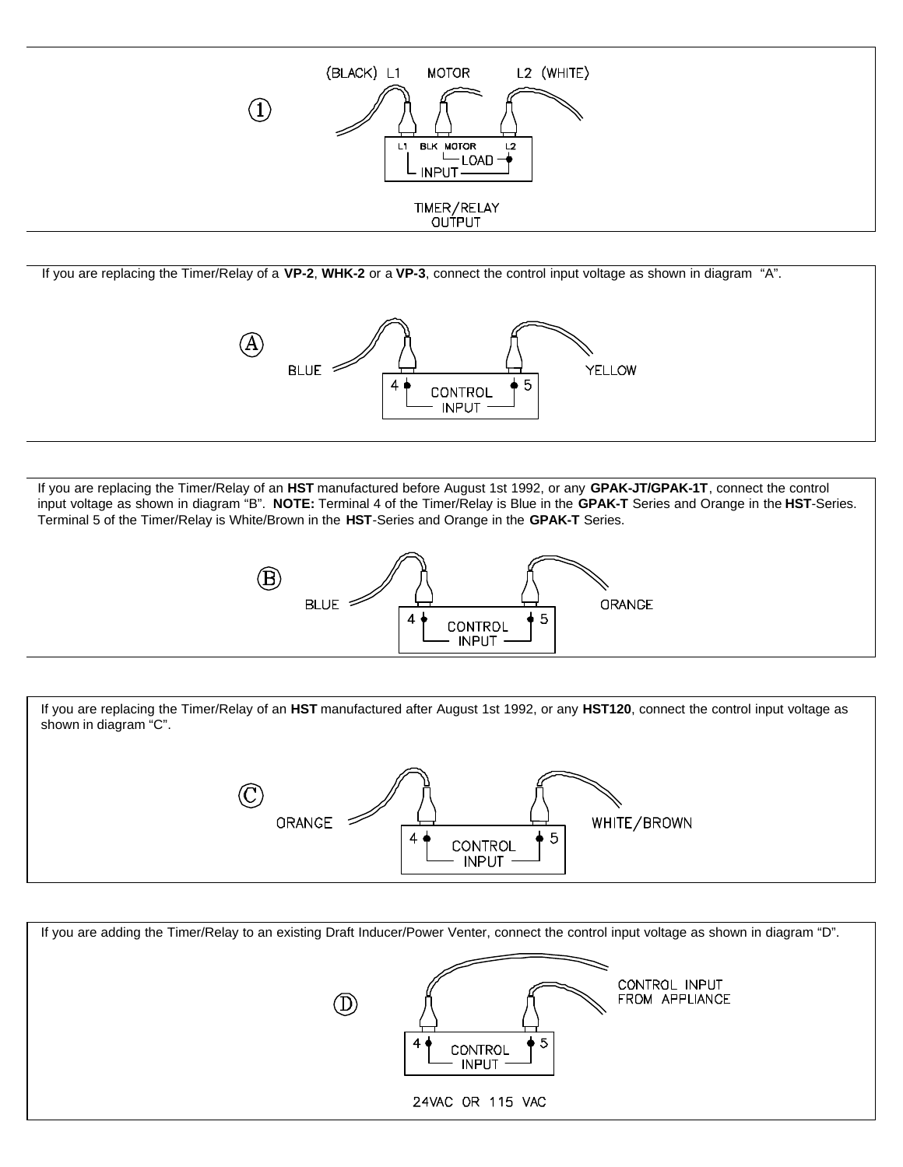

If you are replacing the Timer/Relay of a **VP-2**, **WHK-2** or a **VP-3**, connect the control input voltage as shown in diagram "A".



If you are replacing the Timer/Relay of an **HST** manufactured before August 1st 1992, or any **GPAK-JT/GPAK-1T**, connect the control input voltage as shown in diagram "B". **NOTE:** Terminal 4 of the Timer/Relay is Blue in the **GPAK-T** Series and Orange in the **HST**-Series. Terminal 5 of the Timer/Relay is White/Brown in the **HST**-Series and Orange in the **GPAK-T** Series.